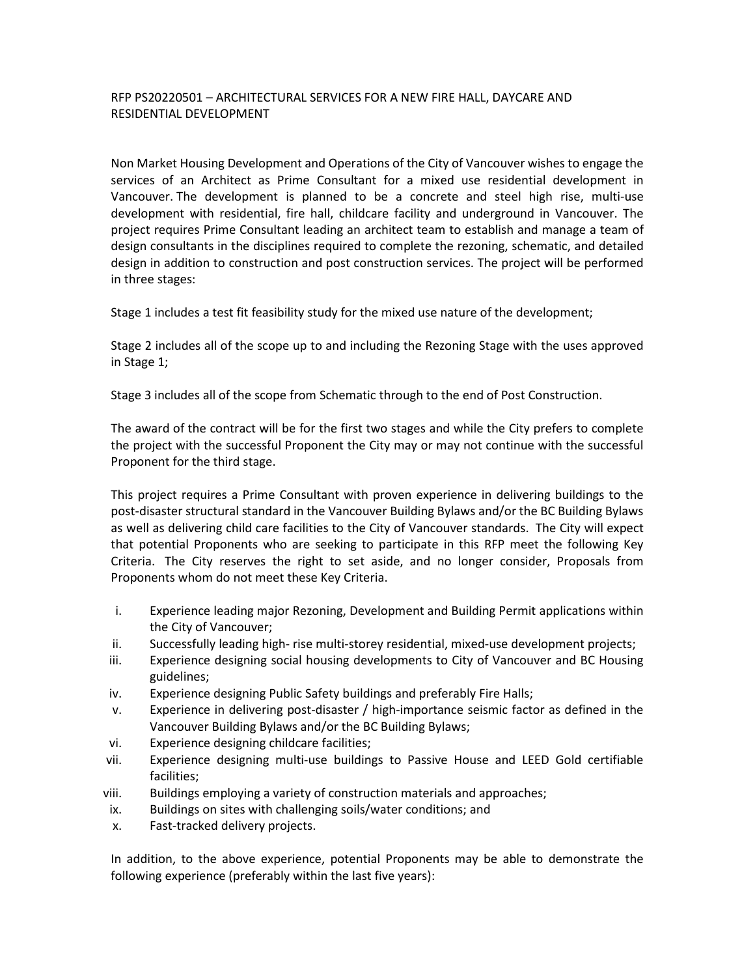## RFP PS20220501 – ARCHITECTURAL SERVICES FOR A NEW FIRE HALL, DAYCARE AND RESIDENTIAL DEVELOPMENT

Non Market Housing Development and Operations of the City of Vancouver wishes to engage the services of an Architect as Prime Consultant for a mixed use residential development in Vancouver. The development is planned to be a concrete and steel high rise, multi-use development with residential, fire hall, childcare facility and underground in Vancouver. The project requires Prime Consultant leading an architect team to establish and manage a team of design consultants in the disciplines required to complete the rezoning, schematic, and detailed design in addition to construction and post construction services. The project will be performed in three stages:

Stage 1 includes a test fit feasibility study for the mixed use nature of the development;

Stage 2 includes all of the scope up to and including the Rezoning Stage with the uses approved in Stage 1;

Stage 3 includes all of the scope from Schematic through to the end of Post Construction.

The award of the contract will be for the first two stages and while the City prefers to complete the project with the successful Proponent the City may or may not continue with the successful Proponent for the third stage.

This project requires a Prime Consultant with proven experience in delivering buildings to the post-disaster structural standard in the Vancouver Building Bylaws and/or the BC Building Bylaws as well as delivering child care facilities to the City of Vancouver standards. The City will expect that potential Proponents who are seeking to participate in this RFP meet the following Key Criteria. The City reserves the right to set aside, and no longer consider, Proposals from Proponents whom do not meet these Key Criteria.

- i. Experience leading major Rezoning, Development and Building Permit applications within the City of Vancouver;
- ii. Successfully leading high- rise multi-storey residential, mixed-use development projects;
- iii. Experience designing social housing developments to City of Vancouver and BC Housing guidelines;
- iv. Experience designing Public Safety buildings and preferably Fire Halls;
- v. Experience in delivering post-disaster / high-importance seismic factor as defined in the Vancouver Building Bylaws and/or the BC Building Bylaws;
- vi. Experience designing childcare facilities;
- vii. Experience designing multi-use buildings to Passive House and LEED Gold certifiable facilities;
- viii. Buildings employing a variety of construction materials and approaches;
- ix. Buildings on sites with challenging soils/water conditions; and
- x. Fast-tracked delivery projects.

In addition, to the above experience, potential Proponents may be able to demonstrate the following experience (preferably within the last five years):